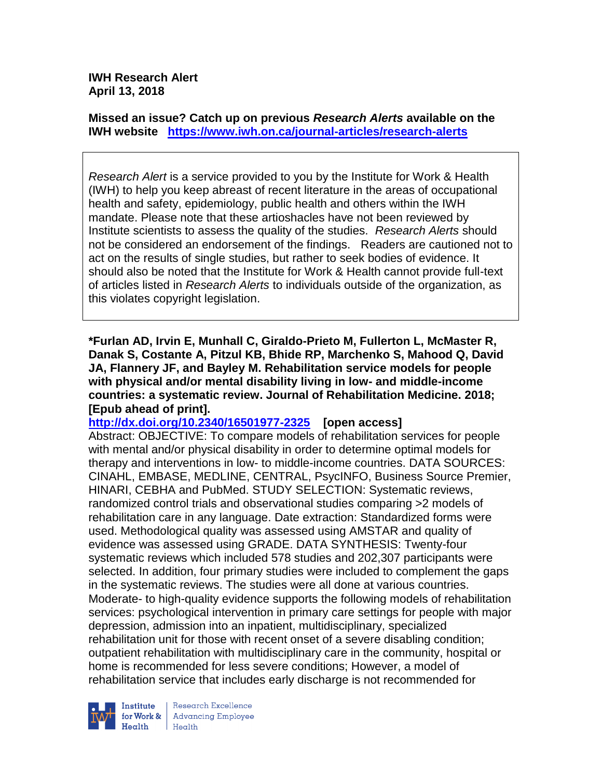**IWH Research Alert April 13, 2018**

**Missed an issue? Catch up on previous** *Research Alerts* **available on the [IWH website](http://www.iwh.on.ca/research-alerts) <https://www.iwh.on.ca/journal-articles/research-alerts>**

*Research Alert* is a service provided to you by the Institute for Work & Health (IWH) to help you keep abreast of recent literature in the areas of occupational health and safety, epidemiology, public health and others within the IWH mandate. Please note that these artioshacles have not been reviewed by Institute scientists to assess the quality of the studies. *Research Alerts* should not be considered an endorsement of the findings. Readers are cautioned not to act on the results of single studies, but rather to seek bodies of evidence. It should also be noted that the Institute for Work & Health cannot provide full-text of articles listed in *Research Alerts* to individuals outside of the organization, as this violates copyright legislation.

**\*Furlan AD, Irvin E, Munhall C, Giraldo-Prieto M, Fullerton L, McMaster R, Danak S, Costante A, Pitzul KB, Bhide RP, Marchenko S, Mahood Q, David JA, Flannery JF, and Bayley M. Rehabilitation service models for people with physical and/or mental disability living in low- and middle-income countries: a systematic review. Journal of Rehabilitation Medicine. 2018; [Epub ahead of print].**

**<http://dx.doi.org/10.2340/16501977-2325>[open access]** Abstract: OBJECTIVE: To compare models of rehabilitation services for people with mental and/or physical disability in order to determine optimal models for therapy and interventions in low- to middle-income countries. DATA SOURCES: CINAHL, EMBASE, MEDLINE, CENTRAL, PsycINFO, Business Source Premier, HINARI, CEBHA and PubMed. STUDY SELECTION: Systematic reviews, randomized control trials and observational studies comparing >2 models of rehabilitation care in any language. Date extraction: Standardized forms were used. Methodological quality was assessed using AMSTAR and quality of evidence was assessed using GRADE. DATA SYNTHESIS: Twenty-four systematic reviews which included 578 studies and 202,307 participants were selected. In addition, four primary studies were included to complement the gaps in the systematic reviews. The studies were all done at various countries. Moderate- to high-quality evidence supports the following models of rehabilitation services: psychological intervention in primary care settings for people with major depression, admission into an inpatient, multidisciplinary, specialized rehabilitation unit for those with recent onset of a severe disabling condition; outpatient rehabilitation with multidisciplinary care in the community, hospital or home is recommended for less severe conditions; However, a model of rehabilitation service that includes early discharge is not recommended for



Research Excellence **Advancing Employee** Health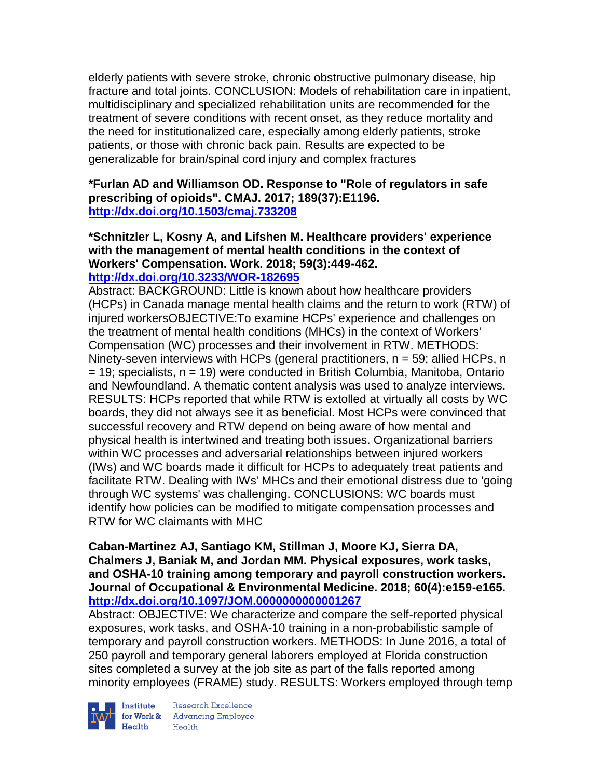elderly patients with severe stroke, chronic obstructive pulmonary disease, hip fracture and total joints. CONCLUSION: Models of rehabilitation care in inpatient, multidisciplinary and specialized rehabilitation units are recommended for the treatment of severe conditions with recent onset, as they reduce mortality and the need for institutionalized care, especially among elderly patients, stroke patients, or those with chronic back pain. Results are expected to be generalizable for brain/spinal cord injury and complex fractures

### **\*Furlan AD and Williamson OD. Response to "Role of regulators in safe prescribing of opioids". CMAJ. 2017; 189(37):E1196. <http://dx.doi.org/10.1503/cmaj.733208>**

# **\*Schnitzler L, Kosny A, and Lifshen M. Healthcare providers' experience with the management of mental health conditions in the context of Workers' Compensation. Work. 2018; 59(3):449-462. <http://dx.doi.org/10.3233/WOR-182695>**

# Abstract: BACKGROUND: Little is known about how healthcare providers (HCPs) in Canada manage mental health claims and the return to work (RTW) of injured workersOBJECTIVE:To examine HCPs' experience and challenges on the treatment of mental health conditions (MHCs) in the context of Workers' Compensation (WC) processes and their involvement in RTW. METHODS: Ninety-seven interviews with HCPs (general practitioners, n = 59; allied HCPs, n  $= 19$ ; specialists, n = 19) were conducted in British Columbia, Manitoba, Ontario and Newfoundland. A thematic content analysis was used to analyze interviews. RESULTS: HCPs reported that while RTW is extolled at virtually all costs by WC boards, they did not always see it as beneficial. Most HCPs were convinced that successful recovery and RTW depend on being aware of how mental and physical health is intertwined and treating both issues. Organizational barriers within WC processes and adversarial relationships between injured workers (IWs) and WC boards made it difficult for HCPs to adequately treat patients and facilitate RTW. Dealing with IWs' MHCs and their emotional distress due to 'going through WC systems' was challenging. CONCLUSIONS: WC boards must identify how policies can be modified to mitigate compensation processes and RTW for WC claimants with MHC

#### **Caban-Martinez AJ, Santiago KM, Stillman J, Moore KJ, Sierra DA, Chalmers J, Baniak M, and Jordan MM. Physical exposures, work tasks, and OSHA-10 training among temporary and payroll construction workers. Journal of Occupational & Environmental Medicine. 2018; 60(4):e159-e165. <http://dx.doi.org/10.1097/JOM.0000000000001267>**

Abstract: OBJECTIVE: We characterize and compare the self-reported physical exposures, work tasks, and OSHA-10 training in a non-probabilistic sample of temporary and payroll construction workers. METHODS: In June 2016, a total of 250 payroll and temporary general laborers employed at Florida construction sites completed a survey at the job site as part of the falls reported among minority employees (FRAME) study. RESULTS: Workers employed through temp



Institute Research Excellence<br>for Work & Advancing Employee<br>Health Health  $Heath$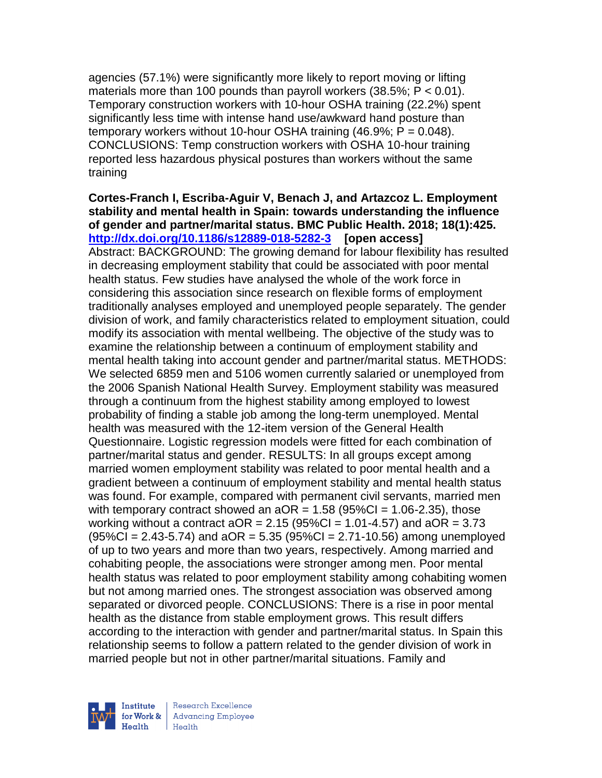agencies (57.1%) were significantly more likely to report moving or lifting materials more than 100 pounds than payroll workers  $(38.5\%; P < 0.01)$ . Temporary construction workers with 10-hour OSHA training (22.2%) spent significantly less time with intense hand use/awkward hand posture than temporary workers without 10-hour OSHA training  $(46.9\%; P = 0.048)$ . CONCLUSIONS: Temp construction workers with OSHA 10-hour training reported less hazardous physical postures than workers without the same training

## **Cortes-Franch I, Escriba-Aguir V, Benach J, and Artazcoz L. Employment stability and mental health in Spain: towards understanding the influence of gender and partner/marital status. BMC Public Health. 2018; 18(1):425. <http://dx.doi.org/10.1186/s12889-018-5282-3>[open access]**

Abstract: BACKGROUND: The growing demand for labour flexibility has resulted in decreasing employment stability that could be associated with poor mental health status. Few studies have analysed the whole of the work force in considering this association since research on flexible forms of employment traditionally analyses employed and unemployed people separately. The gender division of work, and family characteristics related to employment situation, could modify its association with mental wellbeing. The objective of the study was to examine the relationship between a continuum of employment stability and mental health taking into account gender and partner/marital status. METHODS: We selected 6859 men and 5106 women currently salaried or unemployed from the 2006 Spanish National Health Survey. Employment stability was measured through a continuum from the highest stability among employed to lowest probability of finding a stable job among the long-term unemployed. Mental health was measured with the 12-item version of the General Health Questionnaire. Logistic regression models were fitted for each combination of partner/marital status and gender. RESULTS: In all groups except among married women employment stability was related to poor mental health and a gradient between a continuum of employment stability and mental health status was found. For example, compared with permanent civil servants, married men with temporary contract showed an  $aOR = 1.58$  (95%CI = 1.06-2.35), those working without a contract  $aOR = 2.15$  (95%CI = 1.01-4.57) and  $aOR = 3.73$  $(95\%CI = 2.43-5.74)$  and aOR = 5.35 (95%CI = 2.71-10.56) among unemployed of up to two years and more than two years, respectively. Among married and cohabiting people, the associations were stronger among men. Poor mental health status was related to poor employment stability among cohabiting women but not among married ones. The strongest association was observed among separated or divorced people. CONCLUSIONS: There is a rise in poor mental health as the distance from stable employment grows. This result differs according to the interaction with gender and partner/marital status. In Spain this relationship seems to follow a pattern related to the gender division of work in married people but not in other partner/marital situations. Family and

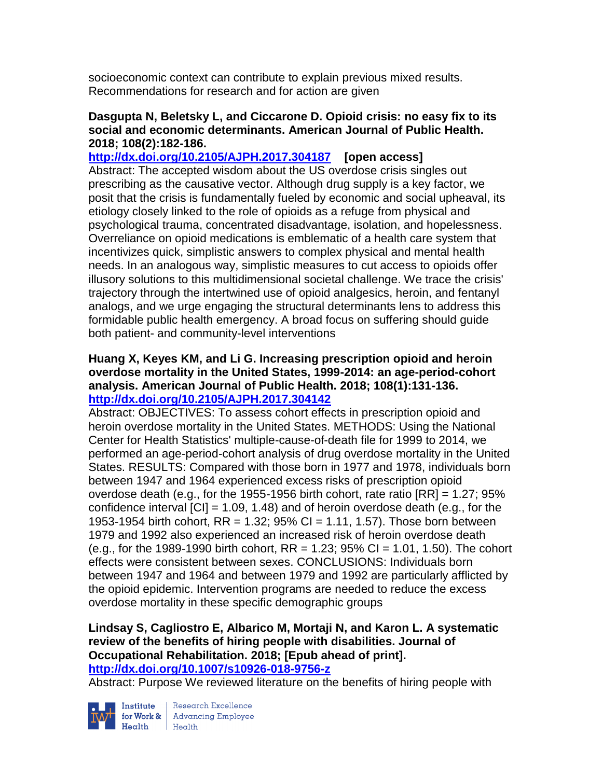socioeconomic context can contribute to explain previous mixed results. Recommendations for research and for action are given

## **Dasgupta N, Beletsky L, and Ciccarone D. Opioid crisis: no easy fix to its social and economic determinants. American Journal of Public Health. 2018; 108(2):182-186.**

**<http://dx.doi.org/10.2105/AJPH.2017.304187>[open access]** Abstract: The accepted wisdom about the US overdose crisis singles out prescribing as the causative vector. Although drug supply is a key factor, we posit that the crisis is fundamentally fueled by economic and social upheaval, its etiology closely linked to the role of opioids as a refuge from physical and psychological trauma, concentrated disadvantage, isolation, and hopelessness. Overreliance on opioid medications is emblematic of a health care system that incentivizes quick, simplistic answers to complex physical and mental health needs. In an analogous way, simplistic measures to cut access to opioids offer illusory solutions to this multidimensional societal challenge. We trace the crisis' trajectory through the intertwined use of opioid analgesics, heroin, and fentanyl analogs, and we urge engaging the structural determinants lens to address this formidable public health emergency. A broad focus on suffering should guide both patient- and community-level interventions

# **Huang X, Keyes KM, and Li G. Increasing prescription opioid and heroin overdose mortality in the United States, 1999-2014: an age-period-cohort analysis. American Journal of Public Health. 2018; 108(1):131-136. <http://dx.doi.org/10.2105/AJPH.2017.304142>**

Abstract: OBJECTIVES: To assess cohort effects in prescription opioid and heroin overdose mortality in the United States. METHODS: Using the National Center for Health Statistics' multiple-cause-of-death file for 1999 to 2014, we performed an age-period-cohort analysis of drug overdose mortality in the United States. RESULTS: Compared with those born in 1977 and 1978, individuals born between 1947 and 1964 experienced excess risks of prescription opioid overdose death (e.g., for the 1955-1956 birth cohort, rate ratio  $[RR] = 1.27$ ; 95% confidence interval  $\text{[CI]} = 1.09, 1.48$ ) and of heroin overdose death (e.g., for the 1953-1954 birth cohort,  $RR = 1.32$ ; 95% CI = 1.11, 1.57). Those born between 1979 and 1992 also experienced an increased risk of heroin overdose death (e.g., for the 1989-1990 birth cohort,  $RR = 1.23$ ; 95% CI = 1.01, 1.50). The cohort effects were consistent between sexes. CONCLUSIONS: Individuals born between 1947 and 1964 and between 1979 and 1992 are particularly afflicted by the opioid epidemic. Intervention programs are needed to reduce the excess overdose mortality in these specific demographic groups

### **Lindsay S, Cagliostro E, Albarico M, Mortaji N, and Karon L. A systematic review of the benefits of hiring people with disabilities. Journal of Occupational Rehabilitation. 2018; [Epub ahead of print]. <http://dx.doi.org/10.1007/s10926-018-9756-z>**

Abstract: Purpose We reviewed literature on the benefits of hiring people with



Institute Research Excellence<br>
for Work & Advancing Employee<br>
Health Health Health Health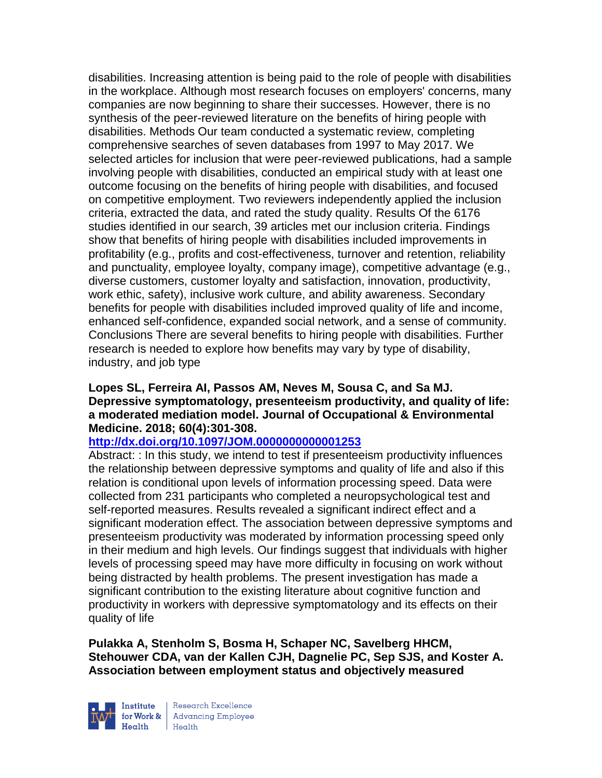disabilities. Increasing attention is being paid to the role of people with disabilities in the workplace. Although most research focuses on employers' concerns, many companies are now beginning to share their successes. However, there is no synthesis of the peer-reviewed literature on the benefits of hiring people with disabilities. Methods Our team conducted a systematic review, completing comprehensive searches of seven databases from 1997 to May 2017. We selected articles for inclusion that were peer-reviewed publications, had a sample involving people with disabilities, conducted an empirical study with at least one outcome focusing on the benefits of hiring people with disabilities, and focused on competitive employment. Two reviewers independently applied the inclusion criteria, extracted the data, and rated the study quality. Results Of the 6176 studies identified in our search, 39 articles met our inclusion criteria. Findings show that benefits of hiring people with disabilities included improvements in profitability (e.g., profits and cost-effectiveness, turnover and retention, reliability and punctuality, employee loyalty, company image), competitive advantage (e.g., diverse customers, customer loyalty and satisfaction, innovation, productivity, work ethic, safety), inclusive work culture, and ability awareness. Secondary benefits for people with disabilities included improved quality of life and income, enhanced self-confidence, expanded social network, and a sense of community. Conclusions There are several benefits to hiring people with disabilities. Further research is needed to explore how benefits may vary by type of disability, industry, and job type

# **Lopes SL, Ferreira AI, Passos AM, Neves M, Sousa C, and Sa MJ. Depressive symptomatology, presenteeism productivity, and quality of life: a moderated mediation model. Journal of Occupational & Environmental Medicine. 2018; 60(4):301-308.**

# **<http://dx.doi.org/10.1097/JOM.0000000000001253>**

Abstract: : In this study, we intend to test if presenteeism productivity influences the relationship between depressive symptoms and quality of life and also if this relation is conditional upon levels of information processing speed. Data were collected from 231 participants who completed a neuropsychological test and self-reported measures. Results revealed a significant indirect effect and a significant moderation effect. The association between depressive symptoms and presenteeism productivity was moderated by information processing speed only in their medium and high levels. Our findings suggest that individuals with higher levels of processing speed may have more difficulty in focusing on work without being distracted by health problems. The present investigation has made a significant contribution to the existing literature about cognitive function and productivity in workers with depressive symptomatology and its effects on their quality of life

**Pulakka A, Stenholm S, Bosma H, Schaper NC, Savelberg HHCM, Stehouwer CDA, van der Kallen CJH, Dagnelie PC, Sep SJS, and Koster A. Association between employment status and objectively measured** 



Research Excellence for Work & | Advancing Employee  $H_{\text{eath}}$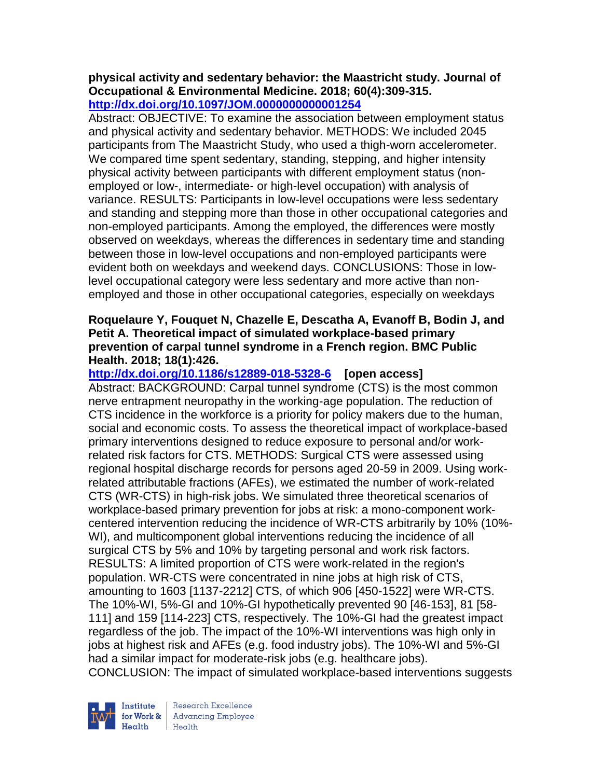#### **physical activity and sedentary behavior: the Maastricht study. Journal of Occupational & Environmental Medicine. 2018; 60(4):309-315. <http://dx.doi.org/10.1097/JOM.0000000000001254>**

Abstract: OBJECTIVE: To examine the association between employment status and physical activity and sedentary behavior. METHODS: We included 2045 participants from The Maastricht Study, who used a thigh-worn accelerometer. We compared time spent sedentary, standing, stepping, and higher intensity physical activity between participants with different employment status (nonemployed or low-, intermediate- or high-level occupation) with analysis of variance. RESULTS: Participants in low-level occupations were less sedentary and standing and stepping more than those in other occupational categories and non-employed participants. Among the employed, the differences were mostly observed on weekdays, whereas the differences in sedentary time and standing between those in low-level occupations and non-employed participants were evident both on weekdays and weekend days. CONCLUSIONS: Those in lowlevel occupational category were less sedentary and more active than nonemployed and those in other occupational categories, especially on weekdays

# **Roquelaure Y, Fouquet N, Chazelle E, Descatha A, Evanoff B, Bodin J, and Petit A. Theoretical impact of simulated workplace-based primary prevention of carpal tunnel syndrome in a French region. BMC Public Health. 2018; 18(1):426.**

**<http://dx.doi.org/10.1186/s12889-018-5328-6>[open access]**

Abstract: BACKGROUND: Carpal tunnel syndrome (CTS) is the most common nerve entrapment neuropathy in the working-age population. The reduction of CTS incidence in the workforce is a priority for policy makers due to the human, social and economic costs. To assess the theoretical impact of workplace-based primary interventions designed to reduce exposure to personal and/or workrelated risk factors for CTS. METHODS: Surgical CTS were assessed using regional hospital discharge records for persons aged 20-59 in 2009. Using workrelated attributable fractions (AFEs), we estimated the number of work-related CTS (WR-CTS) in high-risk jobs. We simulated three theoretical scenarios of workplace-based primary prevention for jobs at risk: a mono-component workcentered intervention reducing the incidence of WR-CTS arbitrarily by 10% (10%- WI), and multicomponent global interventions reducing the incidence of all surgical CTS by 5% and 10% by targeting personal and work risk factors. RESULTS: A limited proportion of CTS were work-related in the region's population. WR-CTS were concentrated in nine jobs at high risk of CTS, amounting to 1603 [1137-2212] CTS, of which 906 [450-1522] were WR-CTS. The 10%-WI, 5%-GI and 10%-GI hypothetically prevented 90 [46-153], 81 [58- 111] and 159 [114-223] CTS, respectively. The 10%-GI had the greatest impact regardless of the job. The impact of the 10%-WI interventions was high only in jobs at highest risk and AFEs (e.g. food industry jobs). The 10%-WI and 5%-GI had a similar impact for moderate-risk jobs (e.g. healthcare jobs). CONCLUSION: The impact of simulated workplace-based interventions suggests



Research Excellence **Advancing Employee**  $H_{\text{each}}$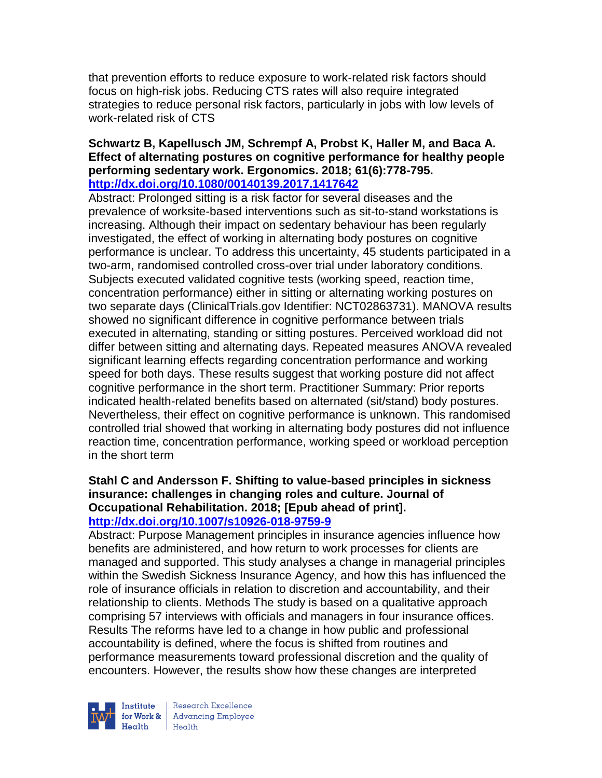that prevention efforts to reduce exposure to work-related risk factors should focus on high-risk jobs. Reducing CTS rates will also require integrated strategies to reduce personal risk factors, particularly in jobs with low levels of work-related risk of CTS

#### **Schwartz B, Kapellusch JM, Schrempf A, Probst K, Haller M, and Baca A. Effect of alternating postures on cognitive performance for healthy people performing sedentary work. Ergonomics. 2018; 61(6):778-795. <http://dx.doi.org/10.1080/00140139.2017.1417642>**

Abstract: Prolonged sitting is a risk factor for several diseases and the prevalence of worksite-based interventions such as sit-to-stand workstations is increasing. Although their impact on sedentary behaviour has been regularly investigated, the effect of working in alternating body postures on cognitive performance is unclear. To address this uncertainty, 45 students participated in a two-arm, randomised controlled cross-over trial under laboratory conditions. Subjects executed validated cognitive tests (working speed, reaction time, concentration performance) either in sitting or alternating working postures on two separate days (ClinicalTrials.gov Identifier: NCT02863731). MANOVA results showed no significant difference in cognitive performance between trials executed in alternating, standing or sitting postures. Perceived workload did not differ between sitting and alternating days. Repeated measures ANOVA revealed significant learning effects regarding concentration performance and working speed for both days. These results suggest that working posture did not affect cognitive performance in the short term. Practitioner Summary: Prior reports indicated health-related benefits based on alternated (sit/stand) body postures. Nevertheless, their effect on cognitive performance is unknown. This randomised controlled trial showed that working in alternating body postures did not influence reaction time, concentration performance, working speed or workload perception in the short term

# **Stahl C and Andersson F. Shifting to value-based principles in sickness insurance: challenges in changing roles and culture. Journal of Occupational Rehabilitation. 2018; [Epub ahead of print]. <http://dx.doi.org/10.1007/s10926-018-9759-9>**

Abstract: Purpose Management principles in insurance agencies influence how benefits are administered, and how return to work processes for clients are managed and supported. This study analyses a change in managerial principles within the Swedish Sickness Insurance Agency, and how this has influenced the role of insurance officials in relation to discretion and accountability, and their relationship to clients. Methods The study is based on a qualitative approach comprising 57 interviews with officials and managers in four insurance offices. Results The reforms have led to a change in how public and professional accountability is defined, where the focus is shifted from routines and performance measurements toward professional discretion and the quality of encounters. However, the results show how these changes are interpreted



Research Excellence for Work & Advancing Employee<br>Health Health